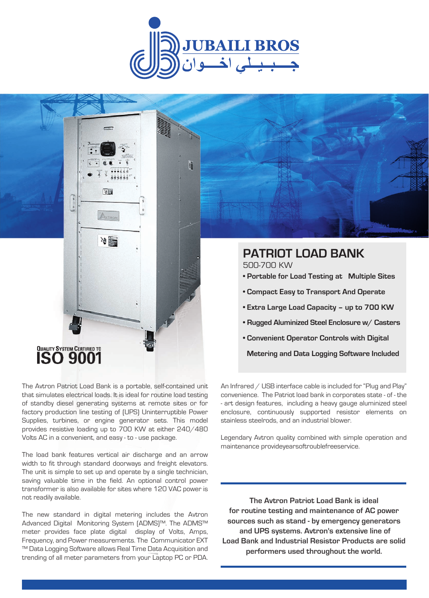

H

# QUALITY SYSTEM CERTIFIED TO

The Avtron Patriot Load Bank is a portable, self-contained unit that simulates electrical loads. It is ideal for routine load testing of standby diesel generating systems at remote sites or for factory production line testing of (UPS) Uninterruptible Power Supplies, turbines, or engine generator sets. This model provides resistive loading up to 700 KW at either 240/480 Volts AC in a convenient, and easy - to - use package.

同盟

冷塵

The load bank features vertical air discharge and an arrow width to fit through standard doorways and freight elevators. The unit is simple to set up and operate by a single technician, saving valuable time in the field. An optional control power transformer is also available for sites where 120 VAC power is not readily available.

The new standard in digital metering includes the Avtron Advanced Digital Monitoring System (ADMS)™. The ADMS™ meter provides face plate digital display of Volts, Amps, Frequency, and Power measurements. The Communicator EXT ™ Data Logging Software allows Real Time Data Acquisition and trending of all meter parameters from your Laptop PC or PDA.

# **PATRIOT LOAD BANK**

500-700 KW

- **Portable for Load Testing at Multiple Sites**
- **Compact Easy to Transport And Operate**
- **Extra Large Load Capacity up to 700 KW**
- **Rugged Aluminized Steel Enclosure w/ Casters**
- **Convenient Operator Controls with Digital**

 **Metering and Data Logging Software Included**

An Infrared / USB interface cable is included for "Plug and Play" convenience. The Patriot load bank in corporates state - of - the - art design features, including a heavy gauge aluminized steel enclosure, continuously supported resistor elements on stainless steelrods, and an industrial blower.

Legendary Avtron quality combined with simple operation and maintenance provideyearsoftroublefreeservice.

**The Avtron Patriot Load Bank is ideal for routine testing and maintenance of AC power sources such as stand - by emergency generators and UPS systems. Avtron's extensive line of Load Bank and Industrial Resistor Products are solid performers used throughout the world.**